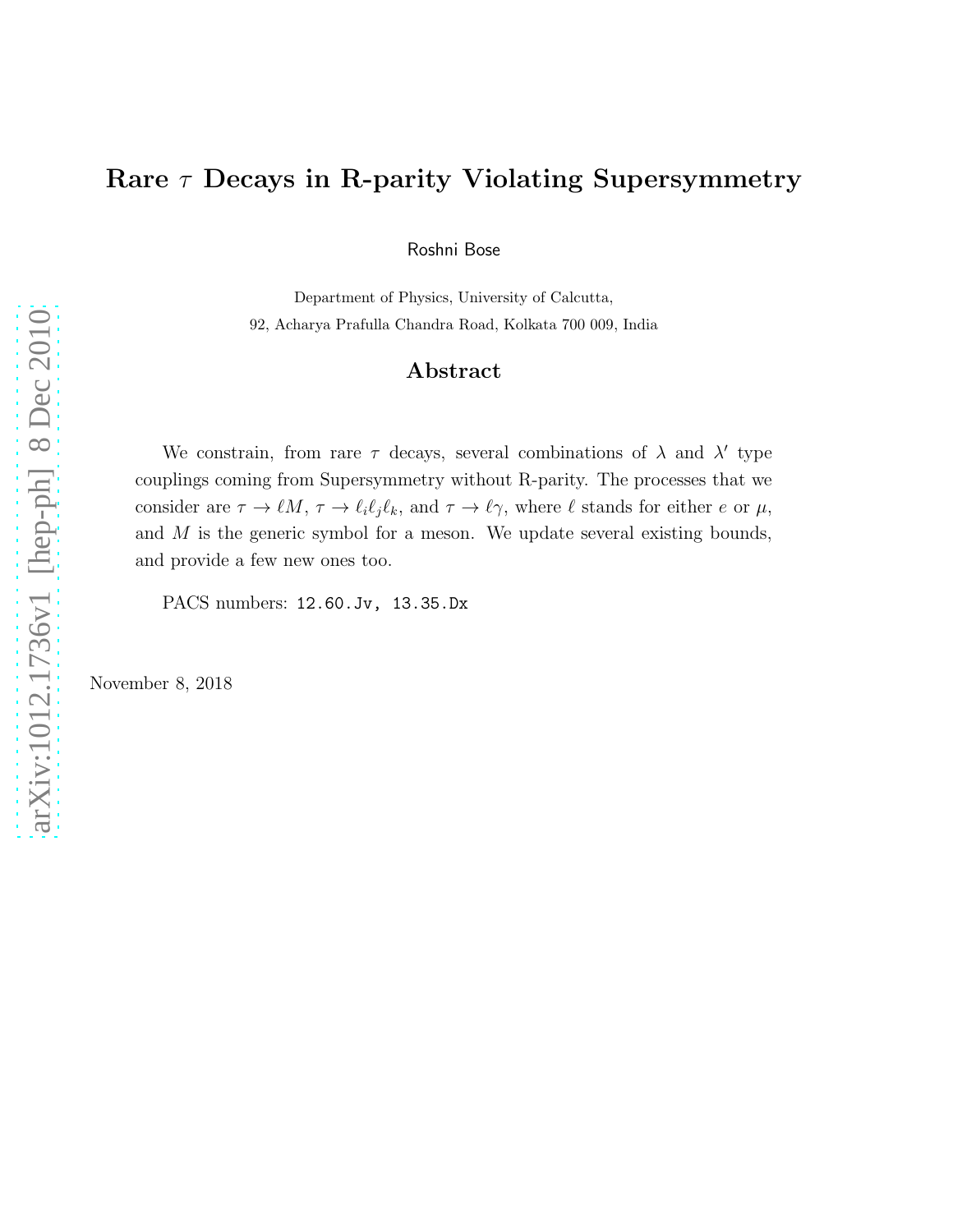# Rare  $\tau$  Decays in R-parity Violating Supersymmetry

Roshni Bose

Department of Physics, University of Calcutta, 92, Acharya Prafulla Chandra Road, Kolkata 700 009, India

#### Abstract

We constrain, from rare  $\tau$  decays, several combinations of  $\lambda$  and  $\lambda'$  type couplings coming from Supersymmetry without R-parity. The processes that we consider are  $\tau \to \ell M$ ,  $\tau \to \ell_i \ell_j \ell_k$ , and  $\tau \to \ell \gamma$ , where  $\ell$  stands for either e or  $\mu$ , and  $M$  is the generic symbol for a meson. We update several existing bounds, and provide a few new ones too.

PACS numbers: 12.60.Jv, 13.35.Dx

November 8, 2018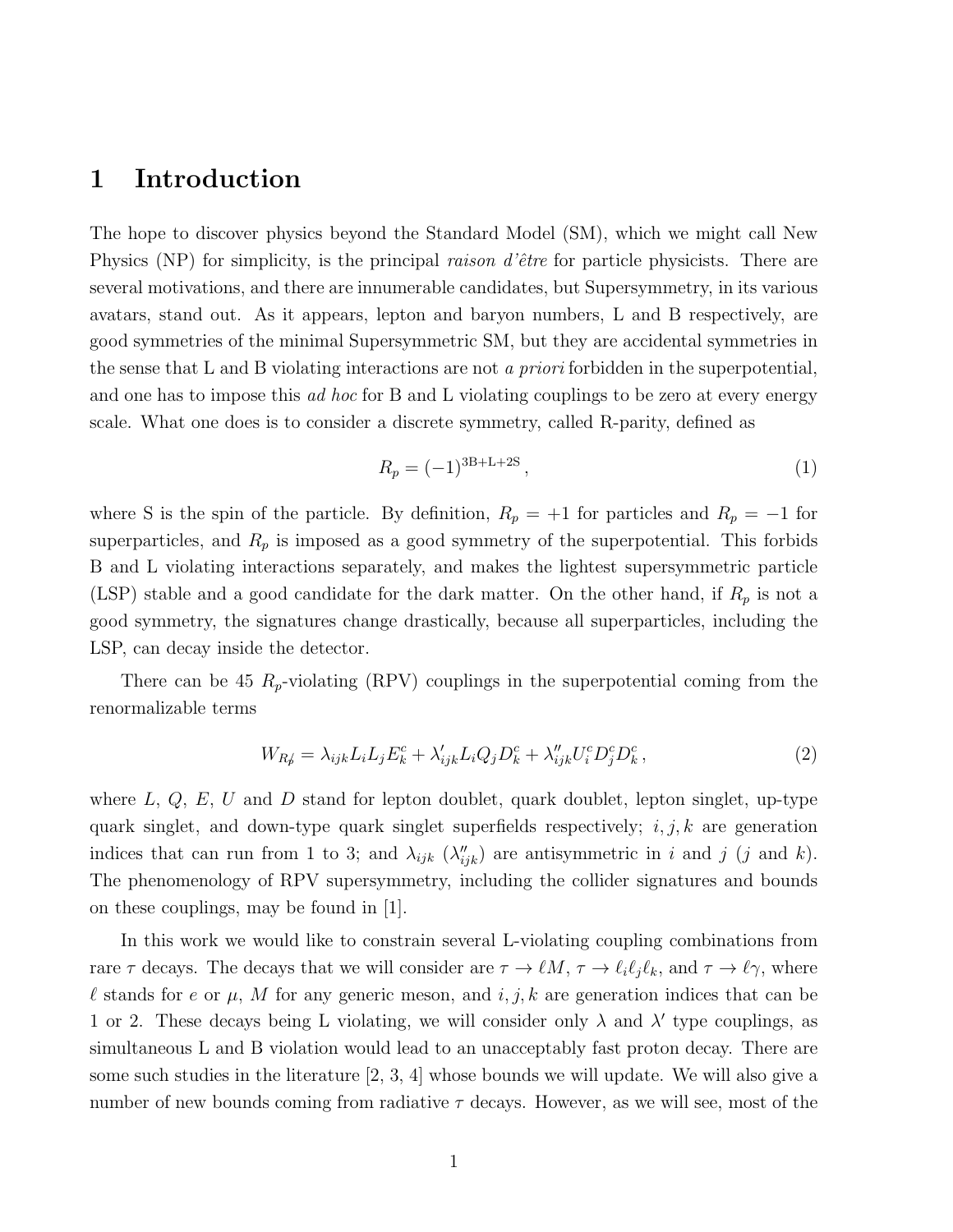### 1 Introduction

The hope to discover physics beyond the Standard Model (SM), which we might call New Physics (NP) for simplicity, is the principal *raison d'être* for particle physicists. There are several motivations, and there are innumerable candidates, but Supersymmetry, in its various avatars, stand out. As it appears, lepton and baryon numbers, L and B respectively, are good symmetries of the minimal Supersymmetric SM, but they are accidental symmetries in the sense that L and B violating interactions are not a priori forbidden in the superpotential, and one has to impose this *ad hoc* for B and L violating couplings to be zero at every energy scale. What one does is to consider a discrete symmetry, called R-parity, defined as

$$
R_p = (-1)^{3B+L+2S},\tag{1}
$$

where S is the spin of the particle. By definition,  $R_p = +1$  for particles and  $R_p = -1$  for superparticles, and  $R_p$  is imposed as a good symmetry of the superpotential. This forbids B and L violating interactions separately, and makes the lightest supersymmetric particle (LSP) stable and a good candidate for the dark matter. On the other hand, if  $R_p$  is not a good symmetry, the signatures change drastically, because all superparticles, including the LSP, can decay inside the detector.

There can be 45  $R_p$ -violating (RPV) couplings in the superpotential coming from the renormalizable terms

$$
W_{R\phi} = \lambda_{ijk} L_i L_j E_k^c + \lambda'_{ijk} L_i Q_j D_k^c + \lambda''_{ijk} U_i^c D_j^c D_k^c, \qquad (2)
$$

where  $L, Q, E, U$  and  $D$  stand for lepton doublet, quark doublet, lepton singlet, up-type quark singlet, and down-type quark singlet superfields respectively;  $i, j, k$  are generation indices that can run from 1 to 3; and  $\lambda_{ijk}$  ( $\lambda''_{ijk}$ ) are antisymmetric in i and j (j and k). The phenomenology of RPV supersymmetry, including the collider signatures and bounds on these couplings, may be found in [1].

In this work we would like to constrain several L-violating coupling combinations from rare  $\tau$  decays. The decays that we will consider are  $\tau \to \ell M$ ,  $\tau \to \ell_i \ell_j \ell_k$ , and  $\tau \to \ell \gamma$ , where l stands for e or  $\mu$ , M for any generic meson, and i, j, k are generation indices that can be 1 or 2. These decays being L violating, we will consider only  $\lambda$  and  $\lambda'$  type couplings, as simultaneous L and B violation would lead to an unacceptably fast proton decay. There are some such studies in the literature [2, 3, 4] whose bounds we will update. We will also give a number of new bounds coming from radiative  $\tau$  decays. However, as we will see, most of the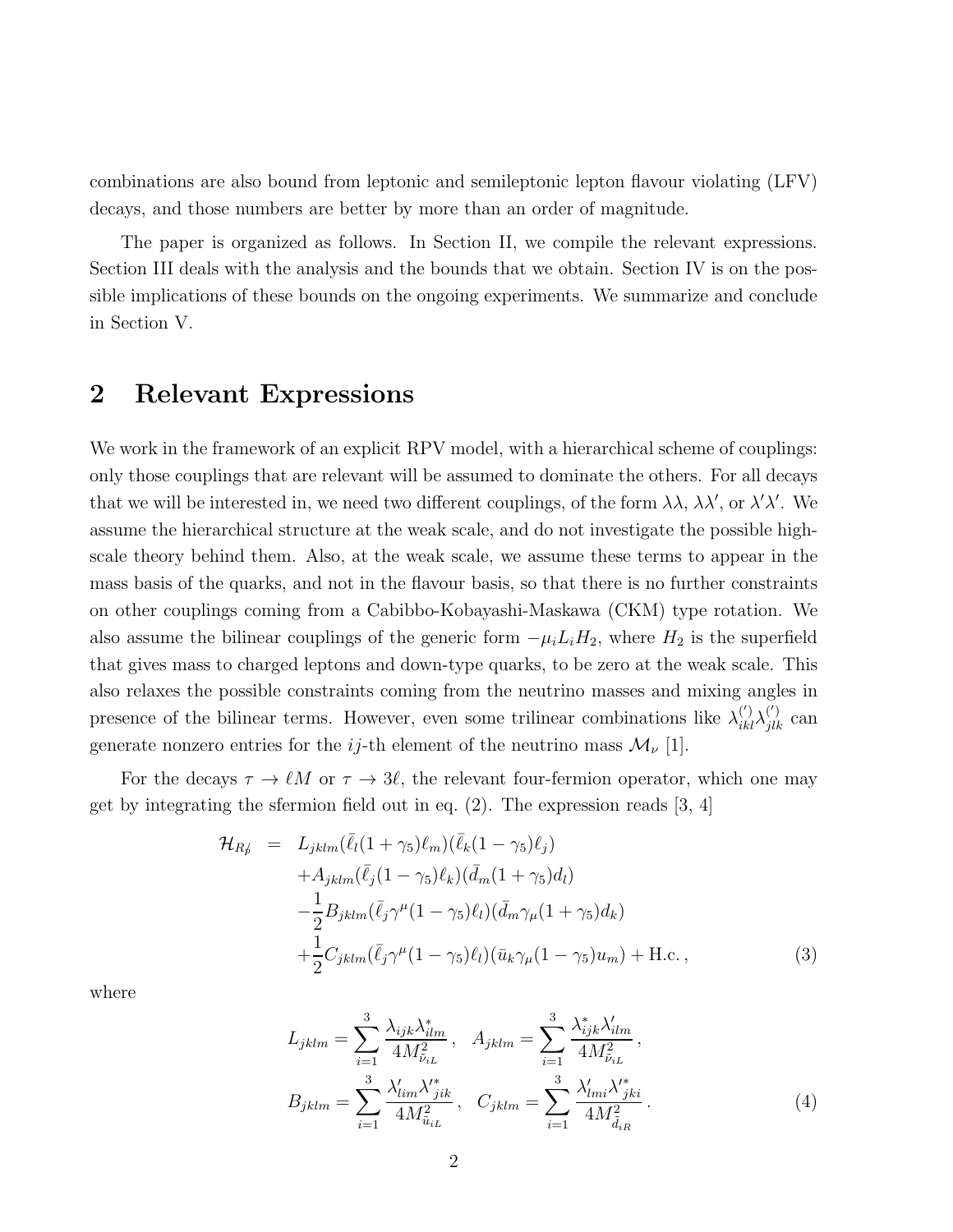combinations are also bound from leptonic and semileptonic lepton flavour violating (LFV) decays, and those numbers are better by more than an order of magnitude.

The paper is organized as follows. In Section II, we compile the relevant expressions. Section III deals with the analysis and the bounds that we obtain. Section IV is on the possible implications of these bounds on the ongoing experiments. We summarize and conclude in Section V.

## 2 Relevant Expressions

We work in the framework of an explicit RPV model, with a hierarchical scheme of couplings: only those couplings that are relevant will be assumed to dominate the others. For all decays that we will be interested in, we need two different couplings, of the form  $\lambda\lambda$ ,  $\lambda\lambda'$ , or  $\lambda'\lambda'$ . We assume the hierarchical structure at the weak scale, and do not investigate the possible highscale theory behind them. Also, at the weak scale, we assume these terms to appear in the mass basis of the quarks, and not in the flavour basis, so that there is no further constraints on other couplings coming from a Cabibbo-Kobayashi-Maskawa (CKM) type rotation. We also assume the bilinear couplings of the generic form  $-\mu_i L_i H_2$ , where  $H_2$  is the superfield that gives mass to charged leptons and down-type quarks, to be zero at the weak scale. This also relaxes the possible constraints coming from the neutrino masses and mixing angles in presence of the bilinear terms. However, even some trilinear combinations like  $\lambda_{ikl}^{(')}\lambda_{jlk}^{(')}$  can generate nonzero entries for the ij-th element of the neutrino mass  $\mathcal{M}_{\nu}$  [1].

For the decays  $\tau \to \ell M$  or  $\tau \to 3\ell$ , the relevant four-fermion operator, which one may get by integrating the sfermion field out in eq. (2). The expression reads [3, 4]

$$
\mathcal{H}_{Rf} = L_{jklm}(\bar{\ell}_{l}(1+\gamma_{5})\ell_{m})(\bar{\ell}_{k}(1-\gamma_{5})\ell_{j}) \n+ A_{jklm}(\bar{\ell}_{j}(1-\gamma_{5})\ell_{k})(\bar{d}_{m}(1+\gamma_{5})d_{l}) \n- \frac{1}{2}B_{jklm}(\bar{\ell}_{j}\gamma^{\mu}(1-\gamma_{5})\ell_{l})(\bar{d}_{m}\gamma_{\mu}(1+\gamma_{5})d_{k}) \n+ \frac{1}{2}C_{jklm}(\bar{\ell}_{j}\gamma^{\mu}(1-\gamma_{5})\ell_{l})(\bar{u}_{k}\gamma_{\mu}(1-\gamma_{5})u_{m}) + \text{H.c.},
$$
\n(3)

where

$$
L_{jklm} = \sum_{i=1}^{3} \frac{\lambda_{ijk} \lambda_{ilm}^*}{4M_{\tilde{\nu}_{iL}}^2}, \quad A_{jklm} = \sum_{i=1}^{3} \frac{\lambda_{ijk}^* \lambda_{ilm}'}{4M_{\tilde{\nu}_{iL}}^2},
$$
  

$$
B_{jklm} = \sum_{i=1}^{3} \frac{\lambda_{lim}' \lambda_{jik}'}{4M_{\tilde{u}_{iL}}^2}, \quad C_{jklm} = \sum_{i=1}^{3} \frac{\lambda_{lmi}' \lambda_{jki}^*}{4M_{\tilde{d}_{iR}}^2}.
$$
 (4)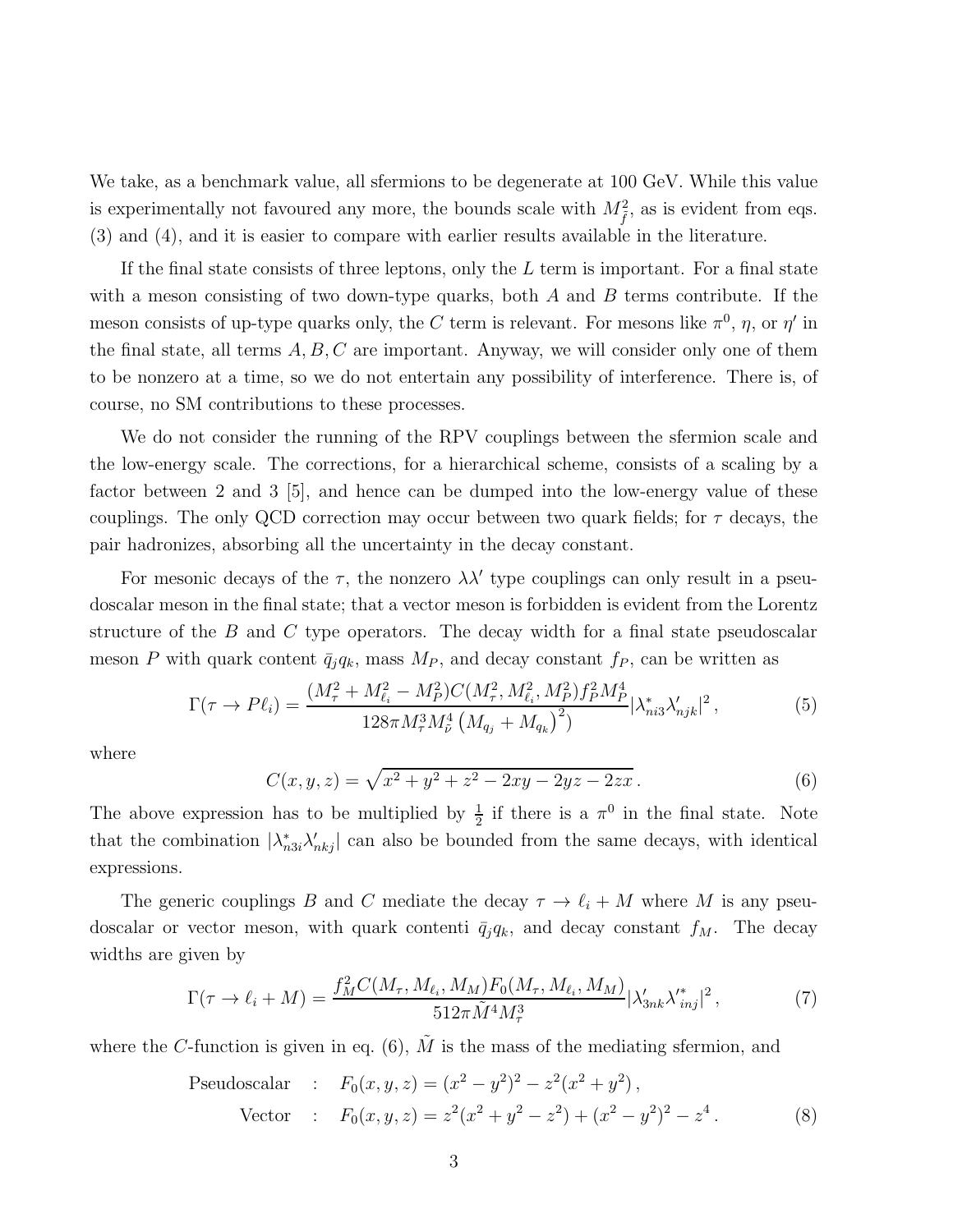We take, as a benchmark value, all sfermions to be degenerate at 100 GeV. While this value is experimentally not favoured any more, the bounds scale with  $M_{\tilde{f}}^2$ , as is evident from eqs. (3) and (4), and it is easier to compare with earlier results available in the literature.

If the final state consists of three leptons, only the  $L$  term is important. For a final state with a meson consisting of two down-type quarks, both  $A$  and  $B$  terms contribute. If the meson consists of up-type quarks only, the C term is relevant. For mesons like  $\pi^0$ ,  $\eta$ , or  $\eta'$  in the final state, all terms  $A, B, C$  are important. Anyway, we will consider only one of them to be nonzero at a time, so we do not entertain any possibility of interference. There is, of course, no SM contributions to these processes.

We do not consider the running of the RPV couplings between the sfermion scale and the low-energy scale. The corrections, for a hierarchical scheme, consists of a scaling by a factor between 2 and 3 [5], and hence can be dumped into the low-energy value of these couplings. The only QCD correction may occur between two quark fields; for  $\tau$  decays, the pair hadronizes, absorbing all the uncertainty in the decay constant.

For mesonic decays of the  $\tau$ , the nonzero  $\lambda \lambda'$  type couplings can only result in a pseudoscalar meson in the final state; that a vector meson is forbidden is evident from the Lorentz structure of the  $B$  and  $C$  type operators. The decay width for a final state pseudoscalar meson P with quark content  $\bar{q}_j q_k$ , mass  $M_P$ , and decay constant  $f_P$ , can be written as

$$
\Gamma(\tau \to P\ell_i) = \frac{(M_\tau^2 + M_{\ell_i}^2 - M_P^2)C(M_\tau^2, M_{\ell_i}^2, M_P^2)f_P^2M_P^4}{128\pi M_\tau^3 M_\nu^4 \left(M_{q_j} + M_{q_k}\right)^2} |\lambda_{ni3}^* \lambda_{njk}'|^2, \tag{5}
$$

where

$$
C(x, y, z) = \sqrt{x^2 + y^2 + z^2 - 2xy - 2yz - 2zx}.
$$
 (6)

The above expression has to be multiplied by  $\frac{1}{2}$  if there is a  $\pi^0$  in the final state. Note that the combination  $|\lambda_{nsi}^* \lambda_{nkj}'|$  can also be bounded from the same decays, with identical expressions.

The generic couplings B and C mediate the decay  $\tau \to \ell_i + M$  where M is any pseudoscalar or vector meson, with quark contenti  $\bar{q}_j q_k$ , and decay constant  $f_M$ . The decay widths are given by

$$
\Gamma(\tau \to \ell_i + M) = \frac{f_M^2 C(M_\tau, M_{\ell_i}, M_M) F_0(M_\tau, M_{\ell_i}, M_M)}{512\pi \tilde{M}^4 M_\tau^3} |\lambda'_{3nk} \lambda'_{inj}|^2, \tag{7}
$$

where the C-function is given in eq. (6),  $\tilde{M}$  is the mass of the mediating sfermion, and

Pseudoscalar : 
$$
F_0(x, y, z) = (x^2 - y^2)^2 - z^2(x^2 + y^2)
$$
,  
\nVector :  $F_0(x, y, z) = z^2(x^2 + y^2 - z^2) + (x^2 - y^2)^2 - z^4$ . (8)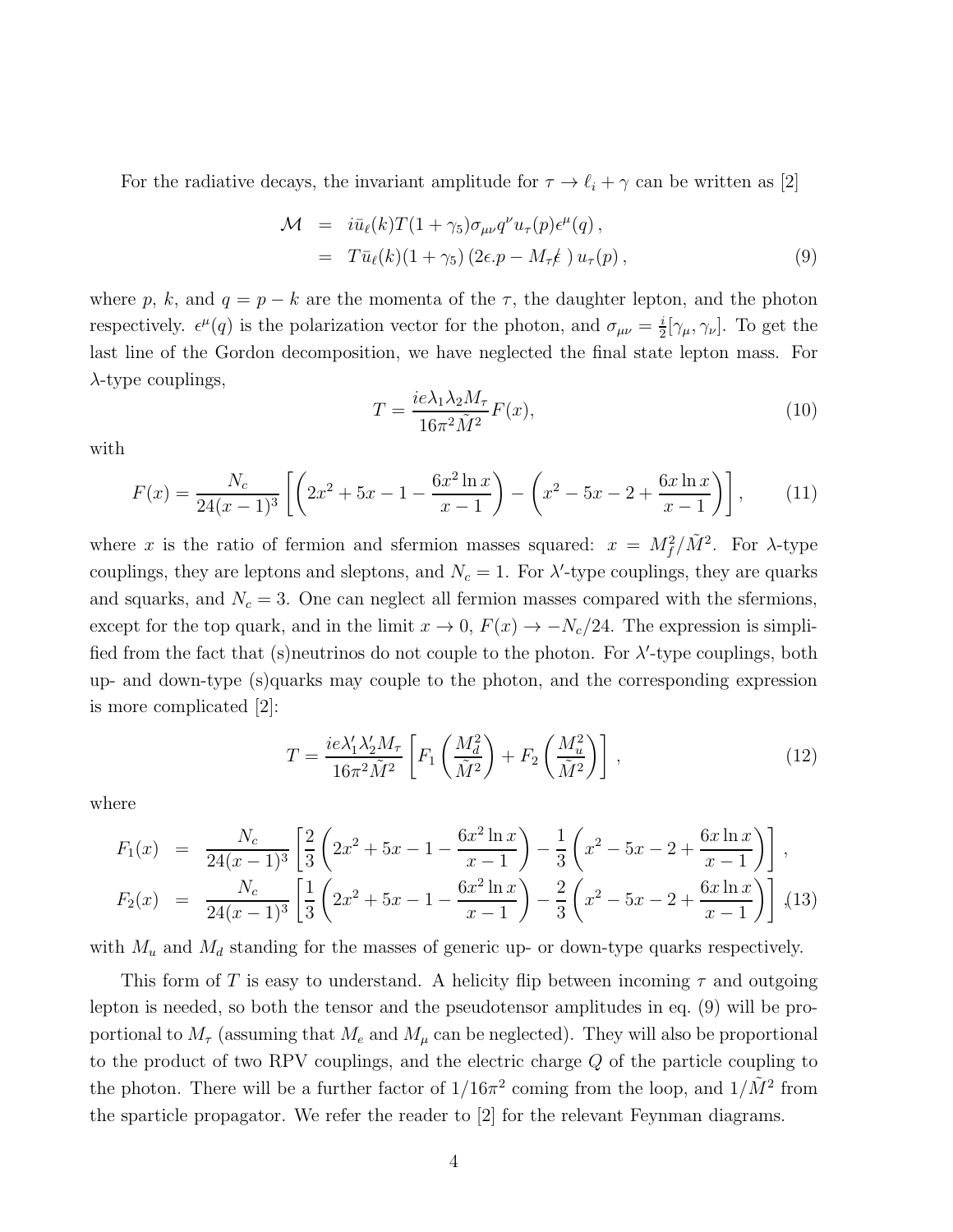For the radiative decays, the invariant amplitude for  $\tau \to \ell_i + \gamma$  can be written as [2]

$$
\mathcal{M} = i\bar{u}_{\ell}(k)T(1+\gamma_5)\sigma_{\mu\nu}q^{\nu}u_{\tau}(p)\epsilon^{\mu}(q),
$$
  
=  $T\bar{u}_{\ell}(k)(1+\gamma_5)(2\epsilon.p - M_{\tau}\ell)u_{\tau}(p),$  (9)

where p, k, and  $q = p - k$  are the momenta of the  $\tau$ , the daughter lepton, and the photon respectively.  $\epsilon^{\mu}(q)$  is the polarization vector for the photon, and  $\sigma_{\mu\nu} = \frac{i}{2}$  $\frac{i}{2}[\gamma_{\mu}, \gamma_{\nu}]$ . To get the last line of the Gordon decomposition, we have neglected the final state lepton mass. For  $\lambda$ -type couplings,

$$
T = \frac{ie\lambda_1\lambda_2 M_\tau}{16\pi^2 \tilde{M}^2} F(x),\tag{10}
$$

with

$$
F(x) = \frac{N_c}{24(x-1)^3} \left[ \left( 2x^2 + 5x - 1 - \frac{6x^2 \ln x}{x-1} \right) - \left( x^2 - 5x - 2 + \frac{6x \ln x}{x-1} \right) \right],\tag{11}
$$

where x is the ratio of fermion and sfermion masses squared:  $x = M_f^2 / \tilde{M}^2$ . For  $\lambda$ -type couplings, they are leptons and sleptons, and  $N_c = 1$ . For  $\lambda'$ -type couplings, they are quarks and squarks, and  $N_c = 3$ . One can neglect all fermion masses compared with the sfermions, except for the top quark, and in the limit  $x \to 0$ ,  $F(x) \to -N_c/24$ . The expression is simplified from the fact that (s) neutrinos do not couple to the photon. For  $\lambda'$ -type couplings, both up- and down-type (s)quarks may couple to the photon, and the corresponding expression is more complicated [2]:

$$
T = \frac{ie\lambda_1'\lambda_2'M_\tau}{16\pi^2\tilde{M}^2} \left[ F_1\left(\frac{M_d^2}{\tilde{M}^2}\right) + F_2\left(\frac{M_u^2}{\tilde{M}^2}\right) \right],\tag{12}
$$

where

$$
F_1(x) = \frac{N_c}{24(x-1)^3} \left[ \frac{2}{3} \left( 2x^2 + 5x - 1 - \frac{6x^2 \ln x}{x-1} \right) - \frac{1}{3} \left( x^2 - 5x - 2 + \frac{6x \ln x}{x-1} \right) \right],
$$
  
\n
$$
F_2(x) = \frac{N_c}{24(x-1)^3} \left[ \frac{1}{3} \left( 2x^2 + 5x - 1 - \frac{6x^2 \ln x}{x-1} \right) - \frac{2}{3} \left( x^2 - 5x - 2 + \frac{6x \ln x}{x-1} \right) \right],
$$
(13)

with  $M_u$  and  $M_d$  standing for the masses of generic up- or down-type quarks respectively.

This form of T is easy to understand. A helicity flip between incoming  $\tau$  and outgoing lepton is needed, so both the tensor and the pseudotensor amplitudes in eq. (9) will be proportional to  $M_{\tau}$  (assuming that  $M_e$  and  $M_{\mu}$  can be neglected). They will also be proportional to the product of two RPV couplings, and the electric charge Q of the particle coupling to the photon. There will be a further factor of  $1/16\pi^2$  coming from the loop, and  $1/\tilde{M}^2$  from the sparticle propagator. We refer the reader to [2] for the relevant Feynman diagrams.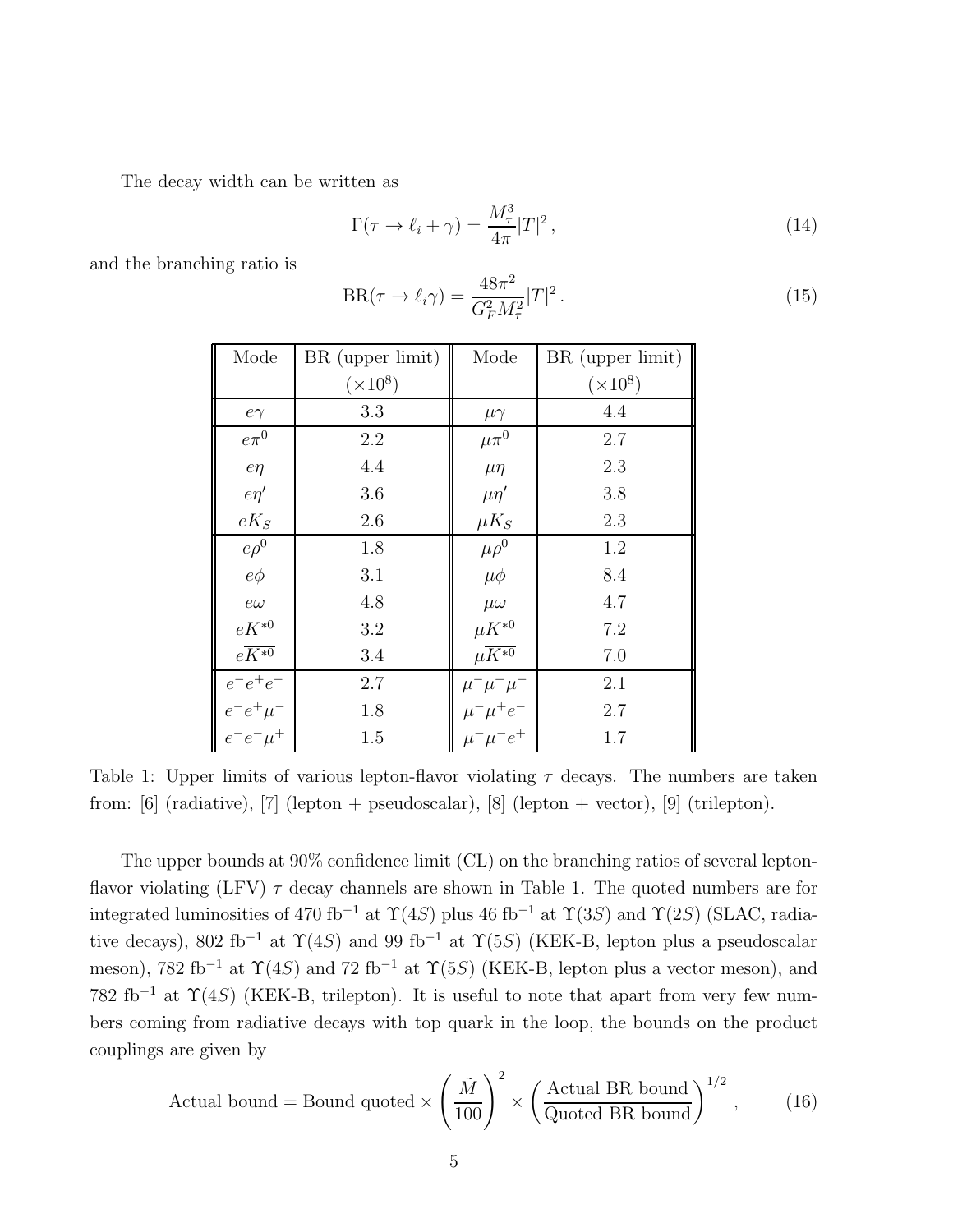The decay width can be written as

$$
\Gamma(\tau \to \ell_i + \gamma) = \frac{M_\tau^3}{4\pi} |T|^2, \qquad (14)
$$

and the branching ratio is

$$
BR(\tau \to \ell_i \gamma) = \frac{48\pi^2}{G_F^2 M_\tau^2} |T|^2.
$$
 (15)

| Mode                                                     | BR (upper limit) | Mode                                                                           | BR (upper limit) |
|----------------------------------------------------------|------------------|--------------------------------------------------------------------------------|------------------|
|                                                          | $(\times 10^8)$  |                                                                                | $(\times 10^8)$  |
| $e\gamma$                                                | 3.3              | $\mu\gamma$                                                                    | 4.4              |
| $e\pi^0$                                                 | 2.2              | $\mu\pi^0$                                                                     | 2.7              |
| $e\eta$                                                  | 4.4              | $\mu$ $\eta$                                                                   | 2.3              |
| $e\eta'$                                                 | 3.6              | $\mu\eta'$                                                                     | 3.8              |
| $eK_S$                                                   | 2.6              | $\mu K_S$                                                                      | 2.3              |
| $e\rho^0$                                                | 1.8              | $\mu \rho^0$                                                                   | 1.2              |
| $e\phi$                                                  | 3.1              | $\mu\phi$                                                                      | 8.4              |
| $e\omega$                                                | 4.8              | $\mu\omega$                                                                    | 4.7              |
| $eK^{*0}$                                                | 3.2              | $\mu K^{*0}$                                                                   | 7.2              |
| $e\overline{K^{*0}}$                                     | 3.4              | $\mu \overline{K^{*0}}$                                                        | 7.0              |
| $e^-e^+e^-$                                              | 2.7              |                                                                                | 2.1              |
| $\begin{array}{l} e^-e^+\mu^-\\ e^-e^-\mu^+ \end{array}$ | 1.8              | $\begin{array}{l} \mu^-\mu^+\mu^-\\ \mu^-\mu^+e^-\\ \mu^-\mu^-e^+ \end{array}$ | 2.7              |
|                                                          | 1.5              |                                                                                | 1.7              |

Table 1: Upper limits of various lepton-flavor violating  $\tau$  decays. The numbers are taken from: [6] (radiative), [7] (lepton + pseudoscalar), [8] (lepton + vector), [9] (trilepton).

The upper bounds at 90% confidence limit (CL) on the branching ratios of several leptonflavor violating (LFV)  $\tau$  decay channels are shown in Table 1. The quoted numbers are for integrated luminosities of 470 fb<sup>-1</sup> at  $\Upsilon(4S)$  plus 46 fb<sup>-1</sup> at  $\Upsilon(3S)$  and  $\Upsilon(2S)$  (SLAC, radiative decays), 802 fb<sup>-1</sup> at  $\Upsilon(4S)$  and 99 fb<sup>-1</sup> at  $\Upsilon(5S)$  (KEK-B, lepton plus a pseudoscalar meson), 782 fb<sup>-1</sup> at  $\Upsilon(4S)$  and 72 fb<sup>-1</sup> at  $\Upsilon(5S)$  (KEK-B, lepton plus a vector meson), and 782 fb<sup>-1</sup> at  $\Upsilon(4S)$  (KEK-B, trilepton). It is useful to note that apart from very few numbers coming from radiative decays with top quark in the loop, the bounds on the product couplings are given by

Actual bound = Bound quoted × 
$$
\left(\frac{\tilde{M}}{100}\right)^2
$$
 ×  $\left(\frac{\text{Actual BR bound}}{\text{Quoted BR bound}}\right)^{1/2}$ , (16)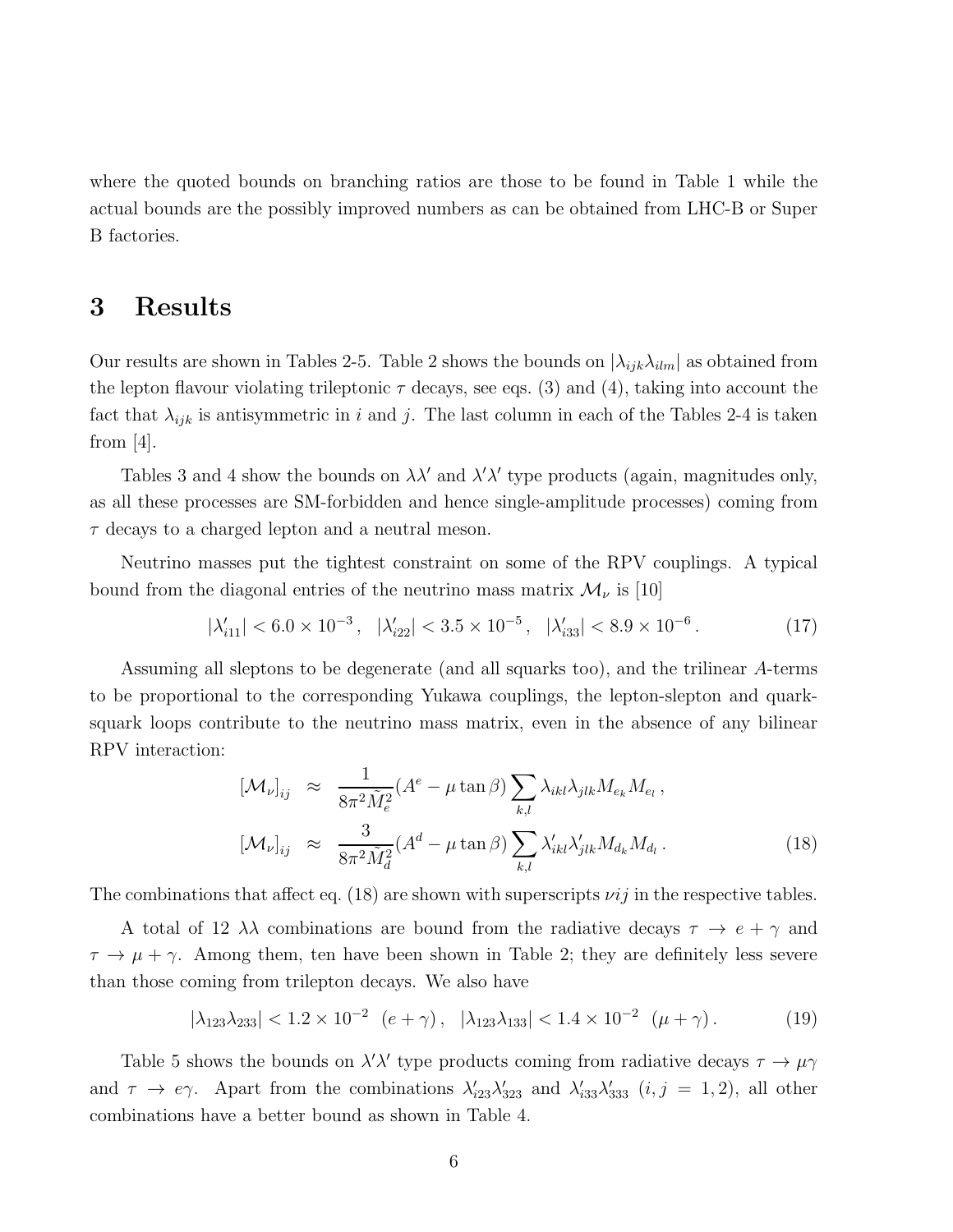where the quoted bounds on branching ratios are those to be found in Table 1 while the actual bounds are the possibly improved numbers as can be obtained from LHC-B or Super B factories.

## 3 Results

Our results are shown in Tables 2-5. Table 2 shows the bounds on  $|\lambda_{ijk}\lambda_{ilm}|$  as obtained from the lepton flavour violating trileptonic  $\tau$  decays, see eqs. (3) and (4), taking into account the fact that  $\lambda_{ijk}$  is antisymmetric in i and j. The last column in each of the Tables 2-4 is taken from  $[4]$ .

Tables 3 and 4 show the bounds on  $\lambda \lambda'$  and  $\lambda' \lambda'$  type products (again, magnitudes only, as all these processes are SM-forbidden and hence single-amplitude processes) coming from  $\tau$  decays to a charged lepton and a neutral meson.

Neutrino masses put the tightest constraint on some of the RPV couplings. A typical bound from the diagonal entries of the neutrino mass matrix  $\mathcal{M}_{\nu}$  is [10]

$$
|\lambda'_{i11}| < 6.0 \times 10^{-3}, \quad |\lambda'_{i22}| < 3.5 \times 10^{-5}, \quad |\lambda'_{i33}| < 8.9 \times 10^{-6}.
$$
 (17)

Assuming all sleptons to be degenerate (and all squarks too), and the trilinear A-terms to be proportional to the corresponding Yukawa couplings, the lepton-slepton and quarksquark loops contribute to the neutrino mass matrix, even in the absence of any bilinear RPV interaction:

$$
[\mathcal{M}_{\nu}]_{ij} \approx \frac{1}{8\pi^2 \tilde{M}_e^2} (A^e - \mu \tan \beta) \sum_{k,l} \lambda_{ikl} \lambda_{jlk} M_{e_k} M_{e_l},
$$
  
\n
$$
[\mathcal{M}_{\nu}]_{ij} \approx \frac{3}{8\pi^2 \tilde{M}_d^2} (A^d - \mu \tan \beta) \sum_{k,l} \lambda'_{ikl} \lambda'_{jlk} M_{d_k} M_{d_l}.
$$
\n(18)

The combinations that affect eq. (18) are shown with superscripts  $\nu ij$  in the respective tables.

A total of 12  $\lambda\lambda$  combinations are bound from the radiative decays  $\tau \to e + \gamma$  and  $\tau \to \mu + \gamma$ . Among them, ten have been shown in Table 2; they are definitely less severe than those coming from trilepton decays. We also have

$$
|\lambda_{123}\lambda_{233}| < 1.2 \times 10^{-2} \quad (e+\gamma), \quad |\lambda_{123}\lambda_{133}| < 1.4 \times 10^{-2} \quad (\mu+\gamma). \tag{19}
$$

Table 5 shows the bounds on  $\lambda' \lambda'$  type products coming from radiative decays  $\tau \to \mu \gamma$ and  $\tau \to e\gamma$ . Apart from the combinations  $\lambda'_{i23}\lambda'_{323}$  and  $\lambda'_{i33}\lambda'_{333}$   $(i, j = 1, 2)$ , all other combinations have a better bound as shown in Table 4.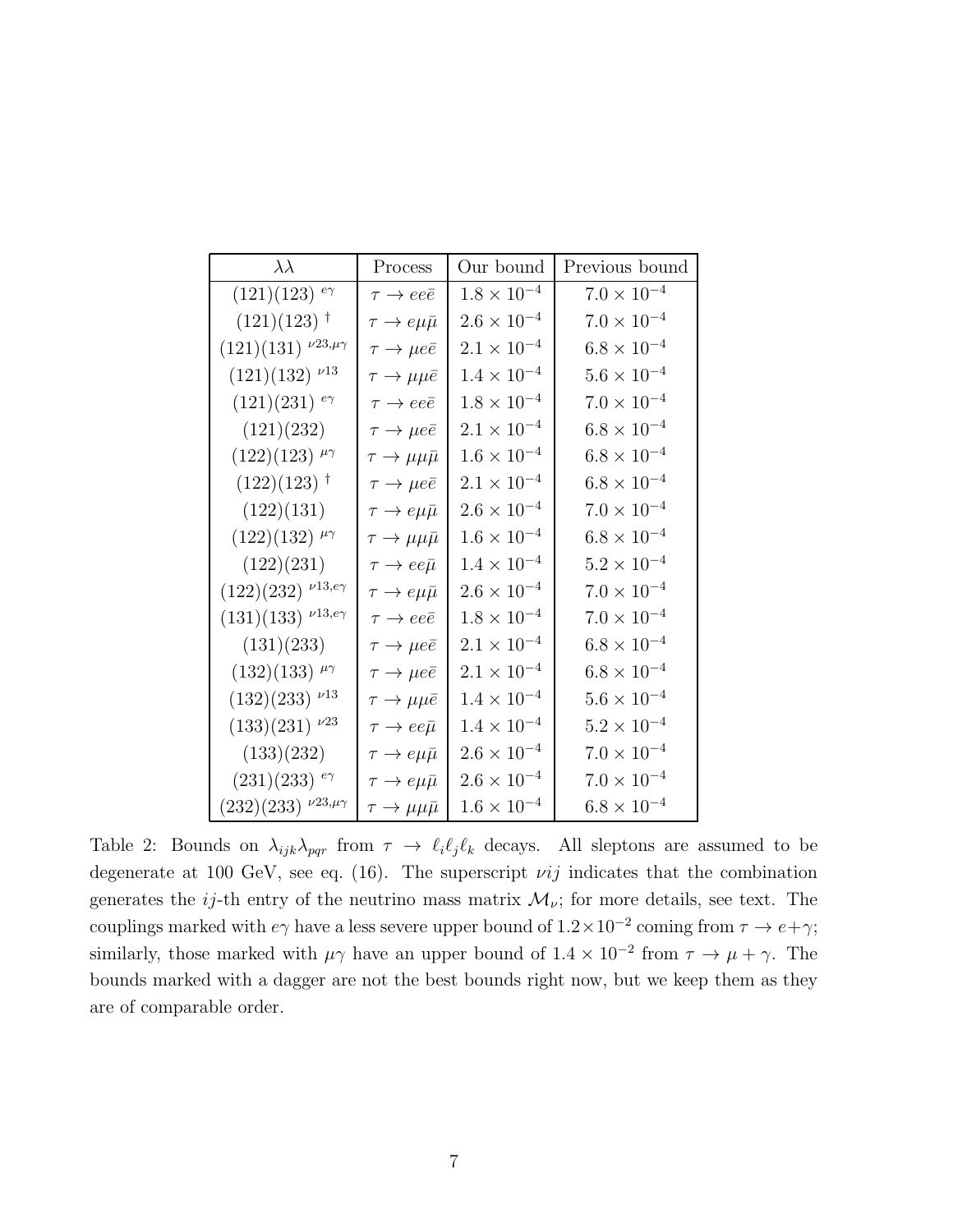| $\lambda\lambda$                                                | Process                        | Our bound            | Previous bound       |
|-----------------------------------------------------------------|--------------------------------|----------------------|----------------------|
| $(121)(123)$ <sup>e</sup>                                       | $\tau \rightarrow ee\bar{e}$   | $1.8\times10^{-4}$   | $7.0 \times 10^{-4}$ |
| $(121)(123)$ <sup>†</sup>                                       | $\tau \to e\mu\bar{\mu}$       | $2.6\times10^{-4}$   | $7.0\times10^{-4}$   |
| $(121)(131)$ $\nu^{23,\mu\gamma}$                               | $\tau \to \mu e \bar{e}$       | $2.1\times10^{-4}$   | $6.8 \times 10^{-4}$ |
| $(121)(132)\nu^{13}$                                            | $\tau \to \mu \mu \bar{e}$     | $1.4\times10^{-4}$   | $5.6\times10^{-4}$   |
| $(121)(231)$ <sup>e</sup>                                       | $\tau \rightarrow e e \bar{e}$ | $1.8\times10^{-4}$   | $7.0 \times 10^{-4}$ |
| (121)(232)                                                      | $\tau \to \mu e \bar{e}$       | $2.1 \times 10^{-4}$ | $6.8\times10^{-4}$   |
| $(122)(123)^{\mu\gamma}$                                        | $\tau \to \mu \mu \bar{\mu}$   | $1.6\times10^{-4}$   | $6.8 \times 10^{-4}$ |
| $(122)(123)$ <sup>†</sup>                                       | $\tau \to \mu e \bar{e}$       | $2.1\times10^{-4}$   | $6.8 \times 10^{-4}$ |
| (122)(131)                                                      | $\tau \to e \mu \bar{\mu}$     | $2.6\times10^{-4}$   | $7.0 \times 10^{-4}$ |
| $(122)(132)$ $\mu\gamma$                                        | $\tau \to \mu \mu \bar{\mu}$   | $1.6\times10^{-4}$   | $6.8\times10^{-4}$   |
| (122)(231)                                                      | $\tau \to ee\bar{\mu}$         | $1.4 \times 10^{-4}$ | $5.2 \times 10^{-4}$ |
| $(122)(232)$ <sup><math>\nu</math>13,<math>e\gamma</math></sup> | $\tau \to e \mu \bar{\mu}$     | $2.6\times10^{-4}$   | $7.0 \times 10^{-4}$ |
| $(131)(133)$ $\nu$ 13,e $\gamma$                                | $\tau \rightarrow e e \bar{e}$ | $1.8 \times 10^{-4}$ | $7.0 \times 10^{-4}$ |
| (131)(233)                                                      | $\tau \to \mu e \bar{e}$       | $2.1 \times 10^{-4}$ | $6.8 \times 10^{-4}$ |
| $(132)(133)$ $\mu\gamma$                                        | $\tau \to \mu e \bar{e}$       | $2.1 \times 10^{-4}$ | $6.8 \times 10^{-4}$ |
| $(132)(233)\nu13$                                               | $\tau \to \mu \mu \bar{e}$     | $1.4 \times 10^{-4}$ | $5.6 \times 10^{-4}$ |
| $(133)(231)\nu^{23}$                                            | $\tau \to ee\bar{\mu}$         | $1.4 \times 10^{-4}$ | $5.2\times10^{-4}$   |
| (133)(232)                                                      | $\tau \to e \mu \bar{\mu}$     | $2.6 \times 10^{-4}$ | $7.0\times10^{-4}$   |
| $(231)(233)$ <sup>e</sup>                                       | $\tau \to e \mu \bar{\mu}$     | $2.6\times10^{-4}$   | $7.0 \times 10^{-4}$ |
| $(232)(233)$ $\nu^{23,\mu\gamma}$                               | $\tau \to \mu \mu \bar{\mu}$   | $1.6 \times 10^{-4}$ | $6.8 \times 10^{-4}$ |

Table 2: Bounds on  $\lambda_{ijk}\lambda_{pqr}$  from  $\tau \to \ell_i\ell_j\ell_k$  decays. All sleptons are assumed to be degenerate at 100 GeV, see eq. (16). The superscript  $vij$  indicates that the combination generates the ij-th entry of the neutrino mass matrix  $\mathcal{M}_{\nu}$ ; for more details, see text. The couplings marked with  $e\gamma$  have a less severe upper bound of  $1.2 \times 10^{-2}$  coming from  $\tau \to e + \gamma$ ; similarly, those marked with  $\mu\gamma$  have an upper bound of  $1.4 \times 10^{-2}$  from  $\tau \to \mu + \gamma$ . The bounds marked with a dagger are not the best bounds right now, but we keep them as they are of comparable order.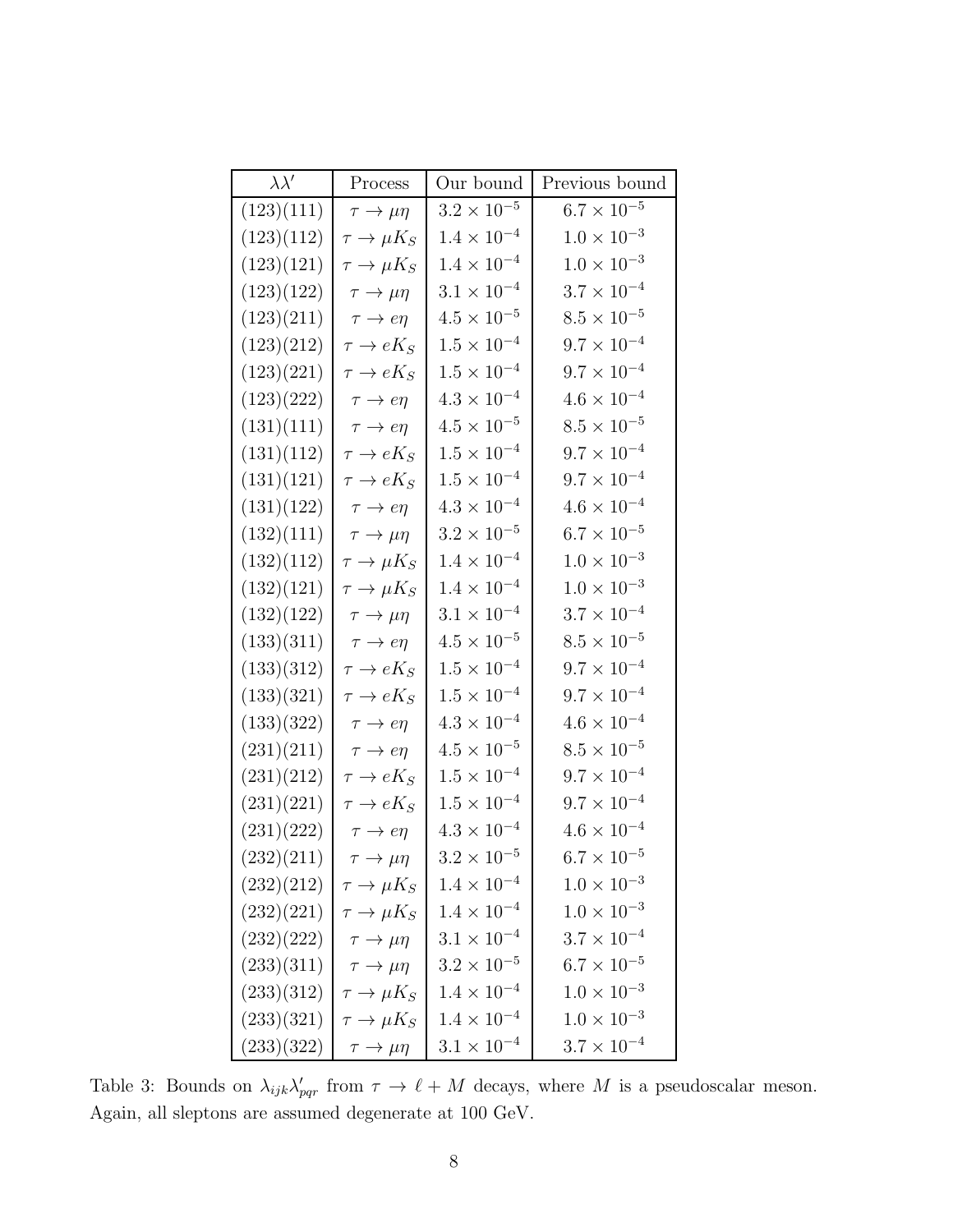| $\lambda \lambda'$ | Process                     | Our bound            | Previous bound       |
|--------------------|-----------------------------|----------------------|----------------------|
| (123)(111)         | $\tau \to \mu \eta$         | $3.2\times10^{-5}$   | $6.7 \times 10^{-5}$ |
| (123)(112)         | $\tau \to \mu K_S$          | $1.4\times10^{-4}$   | $1.0 \times 10^{-3}$ |
| (123)(121)         | $\tau \to \mu K_S$          | $1.4\times10^{-4}$   | $1.0\times10^{-3}$   |
| (123)(122)         | $\tau \to \mu \eta$         | $3.1 \times 10^{-4}$ | $3.7 \times 10^{-4}$ |
| (123)(211)         | $\tau \rightarrow e \eta$   | $4.5 \times 10^{-5}$ | $8.5 \times 10^{-5}$ |
| (123)(212)         | $\tau \to eK_S$             | $1.5\times10^{-4}$   | $9.7 \times 10^{-4}$ |
| (123)(221)         | $\tau \to eK_S$             | $1.5\times10^{-4}$   | $9.7 \times 10^{-4}$ |
| (123)(222)         | $\tau \to e\eta$            | $4.3 \times 10^{-4}$ | $4.6 \times 10^{-4}$ |
| (131)(111)         | $\tau \rightarrow e\eta$    | $4.5 \times 10^{-5}$ | $8.5 \times 10^{-5}$ |
| (131)(112)         | $\tau \to eK_S$             | $1.5\times10^{-4}$   | $9.7 \times 10^{-4}$ |
| (131)(121)         | $\tau \to eK_S$             | $1.5\times10^{-4}$   | $9.7 \times 10^{-4}$ |
| (131)(122)         | $\tau \rightarrow e\eta$    | $4.3\times10^{-4}$   | $4.6\times10^{-4}$   |
| (132)(111)         | $\tau \to \mu \eta$         | $3.2 \times 10^{-5}$ | $6.7 \times 10^{-5}$ |
| (132)(112)         | $\tau \to \mu K_S$          | $1.4\times10^{-4}$   | $1.0 \times 10^{-3}$ |
| (132)(121)         | $\tau \to \mu K_S$          | $1.4\times10^{-4}$   | $1.0 \times 10^{-3}$ |
| (132)(122)         | $\tau \to \mu \eta$         | $3.1\times10^{-4}$   | $3.7 \times 10^{-4}$ |
| (133)(311)         | $\tau \rightarrow e \eta$   | $4.5\times10^{-5}$   | $8.5 \times 10^{-5}$ |
| (133)(312)         | $\tau \to eK_S$             | $1.5\times10^{-4}$   | $9.7 \times 10^{-4}$ |
| (133)(321)         | $\tau \to eK_S$             | $1.5\times10^{-4}$   | $9.7 \times 10^{-4}$ |
| (133)(322)         | $\tau \rightarrow e \eta$   | $4.3 \times 10^{-4}$ | $4.6 \times 10^{-4}$ |
| (231)(211)         | $\tau \rightarrow e \eta$   | $4.5 \times 10^{-5}$ | $8.5\times10^{-5}$   |
| (231)(212)         | $\tau \to eK_S$             | $1.5 \times 10^{-4}$ | $9.7 \times 10^{-4}$ |
| (231)(221)         | $\tau \to eK_S$             | $1.5 \times 10^{-4}$ | $9.7 \times 10^{-4}$ |
| (231)(222)         | $\tau \rightarrow e \eta$   | $4.3 \times 10^{-4}$ | $4.6 \times 10^{-4}$ |
| (232)(211)         | $\tau \rightarrow \mu \eta$ | $3.2 \times 10^{-5}$ | $6.7\times10^{-5}$   |
| (232)(212)         | $\tau \to \mu K_S$          | $1.4 \times 10^{-4}$ | $1.0 \times 10^{-3}$ |
| (232)(221)         | $\tau \to \mu K_S$          | $1.4 \times 10^{-4}$ | $1.0 \times 10^{-3}$ |
| (232)(222)         | $\tau \to \mu \eta$         | $3.1\times10^{-4}$   | $3.7 \times 10^{-4}$ |
| (233)(311)         | $\tau \to \mu \eta$         | $3.2\times10^{-5}$   | $6.7 \times 10^{-5}$ |
| (233)(312)         | $\tau \to \mu K_S$          | $1.4\times10^{-4}$   | $1.0 \times 10^{-3}$ |
| (233)(321)         | $\tau \to \mu K_S$          | $1.4 \times 10^{-4}$ | $1.0 \times 10^{-3}$ |
| (233)(322)         | $\tau \to \mu \eta$         | $3.1 \times 10^{-4}$ | $3.7 \times 10^{-4}$ |

Table 3: Bounds on  $\lambda_{ijk}\lambda'_{pqr}$  from  $\tau \to \ell + M$  decays, where M is a pseudoscalar meson. Again, all sleptons are assumed degenerate at 100 GeV.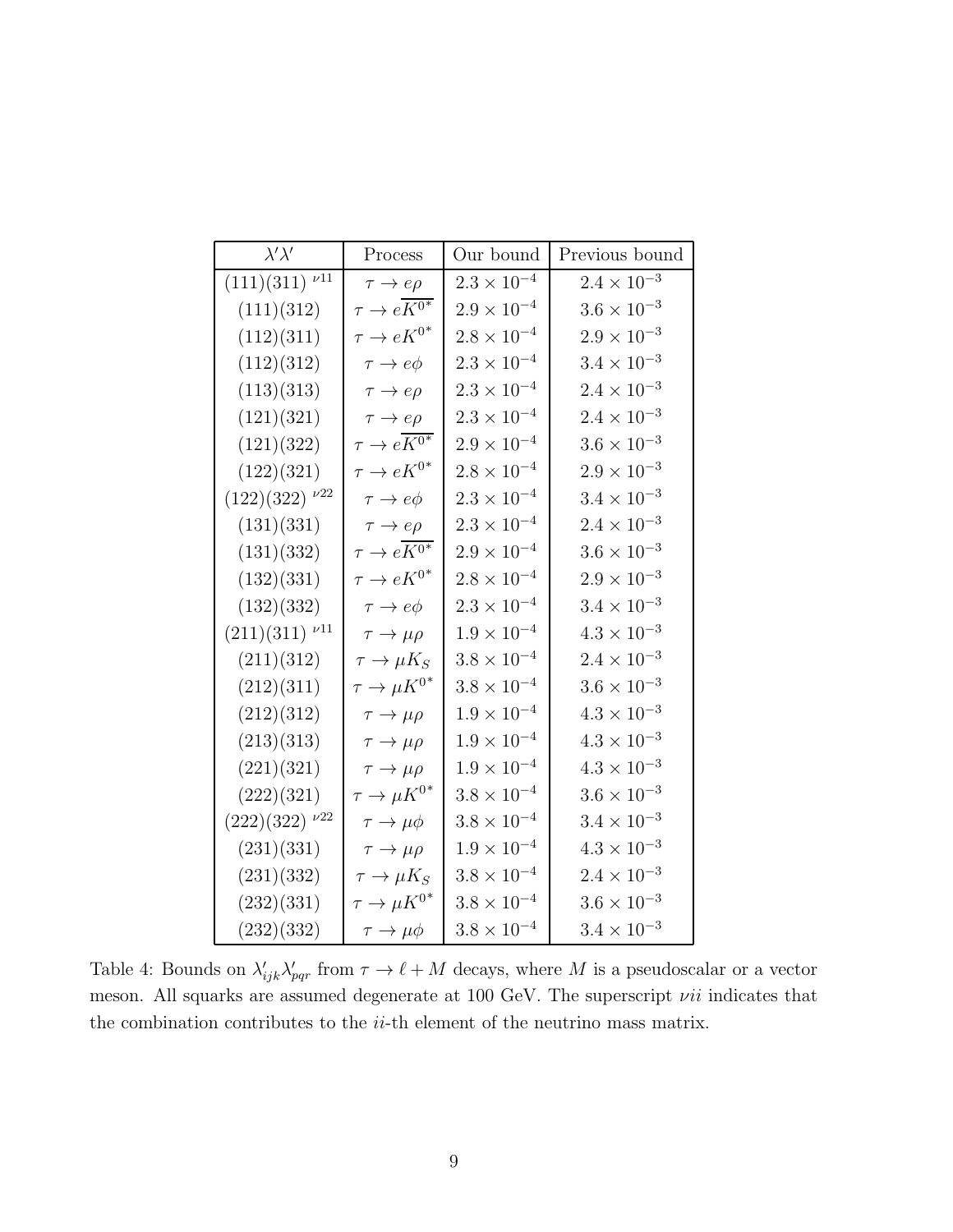| $\lambda' \lambda'$                        | Process                         | Our bound            | Previous bound       |
|--------------------------------------------|---------------------------------|----------------------|----------------------|
| $(111)(311)\nu 11$                         | $\tau \rightarrow e\rho$        | $2.3\times10^{-4}$   | $2.4\times10^{-3}$   |
| (111)(312)                                 | $\tau \to e K^{0^*}$            | $2.9 \times 10^{-4}$ | $3.6\times10^{-3}$   |
| (112)(311)                                 | $\tau \rightarrow e K^{0^*}$    | $2.8\times10^{-4}$   | $2.9\times10^{-3}$   |
| (112)(312)                                 | $\tau \to e\phi$                | $2.3\times10^{-4}$   | $3.4\times10^{-3}$   |
| (113)(313)                                 | $\tau \rightarrow e\rho$        | $2.3\times10^{-4}$   | $2.4\times10^{-3}$   |
| (121)(321)                                 | $\tau \rightarrow e\rho$        | $2.3\times10^{-4}$   | $2.4\times10^{-3}$   |
| (121)(322)                                 | $\tau \to e K^{\overline{0^*}}$ | $2.9 \times 10^{-4}$ | $3.6 \times 10^{-3}$ |
| (122)(321)                                 | $\tau \to eK^{0^*}$             | $2.8 \times 10^{-4}$ | $2.9\times10^{-3}$   |
| $(122)(322)^{\nu22}$                       | $\tau \to e\phi$                | $2.3 \times 10^{-4}$ | $3.4\times10^{-3}$   |
| (131)(331)                                 | $\tau \rightarrow e\rho$        | $2.3 \times 10^{-4}$ | $2.4 \times 10^{-3}$ |
| (131)(332)                                 | $\tau \to e K^{0^*}$            | $2.9 \times 10^{-4}$ | $3.6\times10^{-3}$   |
| (132)(331)                                 | $\tau \to e K^{0^*}$            | $2.8 \times 10^{-4}$ | $2.9 \times 10^{-3}$ |
| (132)(332)                                 | $\tau \to e\phi$                | $2.3 \times 10^{-4}$ | $3.4\times10^{-3}$   |
| $(211)(311)$ <sup><math>\nu</math>11</sup> | $\tau \to \mu \rho$             | $1.9 \times 10^{-4}$ | $4.3 \times 10^{-3}$ |
| (211)(312)                                 | $\tau \to \mu K_S$              | $3.8 \times 10^{-4}$ | $2.4 \times 10^{-3}$ |
| (212)(311)                                 | $\tau \to \mu K^{0^*}$          | $3.8 \times 10^{-4}$ | $3.6\times10^{-3}$   |
| (212)(312)                                 | $\tau \to \mu \rho$             | $1.9\times10^{-4}$   | $4.3\times10^{-3}$   |
| (213)(313)                                 | $\tau \to \mu \rho$             | $1.9 \times 10^{-4}$ | $4.3\times10^{-3}$   |
| (221)(321)                                 | $\tau \to \mu \rho$             | $1.9 \times 10^{-4}$ | $4.3 \times 10^{-3}$ |
| (222)(321)                                 | $\tau \to \mu K^{0^*}$          | $3.8 \times 10^{-4}$ | $3.6 \times 10^{-3}$ |
| $(222)(322)\nu^{22}$                       | $\tau \to \mu \phi$             | $3.8 \times 10^{-4}$ | $3.4\times10^{-3}$   |
| (231)(331)                                 | $\tau \to \mu \rho$             | $1.9 \times 10^{-4}$ | $4.3\times10^{-3}$   |
| (231)(332)                                 | $\tau \to \mu K_S$              | $3.8 \times 10^{-4}$ | $2.4 \times 10^{-3}$ |
| (232)(331)                                 | $\tau \to \mu K^{0^*}$          | $3.8 \times 10^{-4}$ | $3.6 \times 10^{-3}$ |
| (232)(332)                                 | $\tau \to \mu \phi$             | $3.8 \times 10^{-4}$ | $3.4\times10^{-3}$   |

Table 4: Bounds on  $\lambda'_{ijk}\lambda'_{pqr}$  from  $\tau \to \ell + M$  decays, where M is a pseudoscalar or a vector meson. All squarks are assumed degenerate at 100 GeV. The superscript  $vii$  indicates that the combination contributes to the  $ii$ -th element of the neutrino mass matrix.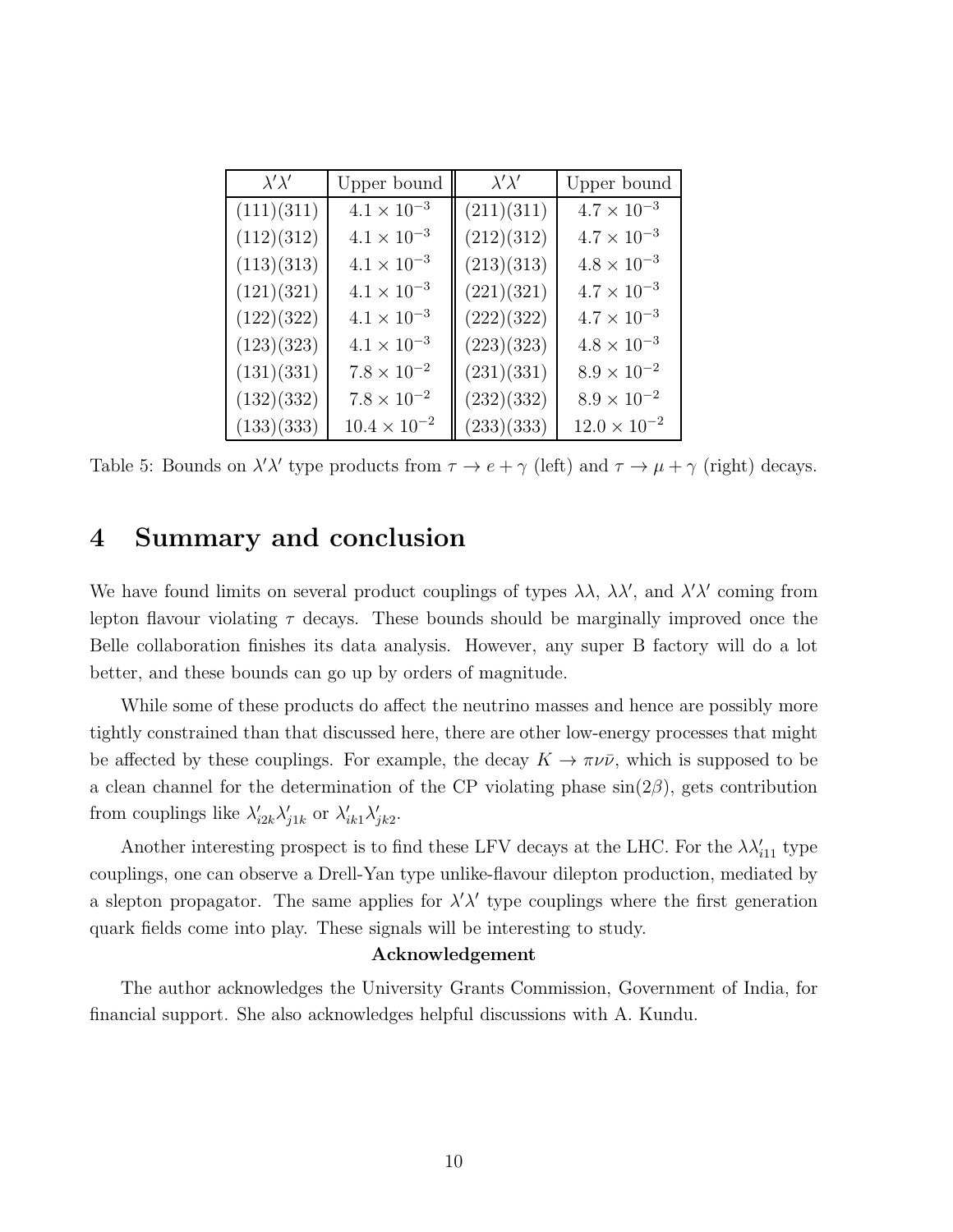| $\lambda' \lambda'$ | Upper bound           | $\lambda' \lambda'$ | Upper bound           |
|---------------------|-----------------------|---------------------|-----------------------|
| (111)(311)          | $4.1\times10^{-3}$    | (211)(311)          | $4.7 \times 10^{-3}$  |
| (112)(312)          | $4.1\times10^{-3}$    | (212)(312)          | $4.7\times10^{-3}$    |
| (113)(313)          | $4.1\times10^{-3}$    | (213)(313)          | $4.8\times10^{-3}$    |
| (121)(321)          | $4.1\times10^{-3}$    | (221)(321)          | $4.7 \times 10^{-3}$  |
| (122)(322)          | $4.1\times10^{-3}$    | (222)(322)          | $4.7 \times 10^{-3}$  |
| (123)(323)          | $4.1\times10^{-3}$    | (223)(323)          | $4.8\times10^{-3}$    |
| (131)(331)          | $7.8 \times 10^{-2}$  | (231)(331)          | $8.9 \times 10^{-2}$  |
| (132)(332)          | $7.8\times10^{-2}$    | (232)(332)          | $8.9 \times 10^{-2}$  |
| (133)(333)          | $10.4 \times 10^{-2}$ | (233)(333)          | $12.0 \times 10^{-2}$ |

Table 5: Bounds on  $\lambda' \lambda'$  type products from  $\tau \to e + \gamma$  (left) and  $\tau \to \mu + \gamma$  (right) decays.

# 4 Summary and conclusion

We have found limits on several product couplings of types  $\lambda\lambda$ ,  $\lambda\lambda'$ , and  $\lambda'\lambda'$  coming from lepton flavour violating  $\tau$  decays. These bounds should be marginally improved once the Belle collaboration finishes its data analysis. However, any super B factory will do a lot better, and these bounds can go up by orders of magnitude.

While some of these products do affect the neutrino masses and hence are possibly more tightly constrained than that discussed here, there are other low-energy processes that might be affected by these couplings. For example, the decay  $K \to \pi \nu \bar{\nu}$ , which is supposed to be a clean channel for the determination of the CP violating phase  $sin(2\beta)$ , gets contribution from couplings like  $\lambda'_{i2k}\lambda'_{j1k}$  or  $\lambda'_{ik1}\lambda'_{jk2}$ .

Another interesting prospect is to find these LFV decays at the LHC. For the  $\lambda \lambda'_{i11}$  type couplings, one can observe a Drell-Yan type unlike-flavour dilepton production, mediated by a slepton propagator. The same applies for  $\lambda' \lambda'$  type couplings where the first generation quark fields come into play. These signals will be interesting to study.

#### Acknowledgement

The author acknowledges the University Grants Commission, Government of India, for financial support. She also acknowledges helpful discussions with A. Kundu.